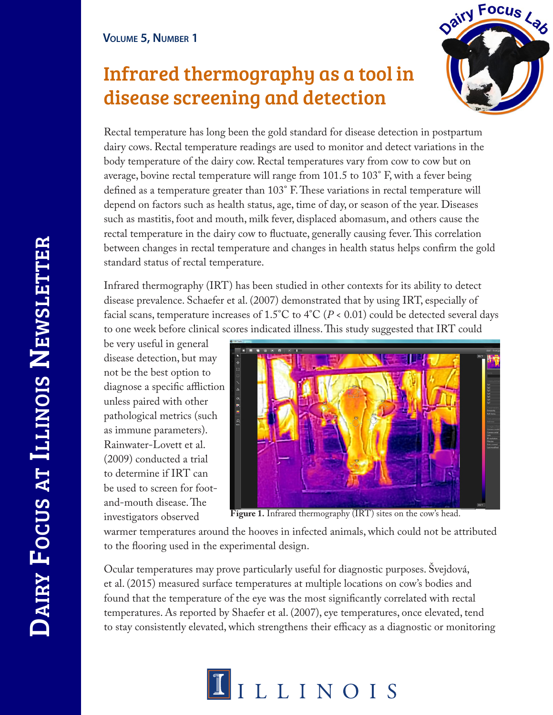## Infrared thermography as a tool in disease screening and detection



Rectal temperature has long been the gold standard for disease detection in postpartum dairy cows. Rectal temperature readings are used to monitor and detect variations in the body temperature of the dairy cow. Rectal temperatures vary from cow to cow but on average, bovine rectal temperature will range from 101.5 to 103° F, with a fever being defined as a temperature greater than 103° F. These variations in rectal temperature will depend on factors such as health status, age, time of day, or season of the year. Diseases such as mastitis, foot and mouth, milk fever, displaced abomasum, and others cause the rectal temperature in the dairy cow to fluctuate, generally causing fever. This correlation between changes in rectal temperature and changes in health status helps confirm the gold standard status of rectal temperature.

Infrared thermography (IRT) has been studied in other contexts for its ability to detect disease prevalence. Schaefer et al. (2007) demonstrated that by using IRT, especially of facial scans, temperature increases of 1.5<sup>°</sup>C to 4<sup>°</sup>C (*P* < 0.01) could be detected several days to one week before clinical scores indicated illness. This study suggested that IRT could

be very useful in general disease detection, but may not be the best option to diagnose a specific affliction unless paired with other pathological metrics (such as immune parameters). Rainwater-Lovett et al. (2009) conducted a trial to determine if IRT can be used to screen for footand-mouth disease. The investigators observed



**Figure 1.** Infrared thermography (IRT) sites on the cow's head.

warmer temperatures around the hooves in infected animals, which could not be attributed to the flooring used in the experimental design.

Ocular temperatures may prove particularly useful for diagnostic purposes. Švejdová, et al. (2015) measured surface temperatures at multiple locations on cow's bodies and found that the temperature of the eye was the most significantly correlated with rectal temperatures. As reported by Shaefer et al. (2007), eye temperatures, once elevated, tend to stay consistently elevated, which strengthens their efficacy as a diagnostic or monitoring

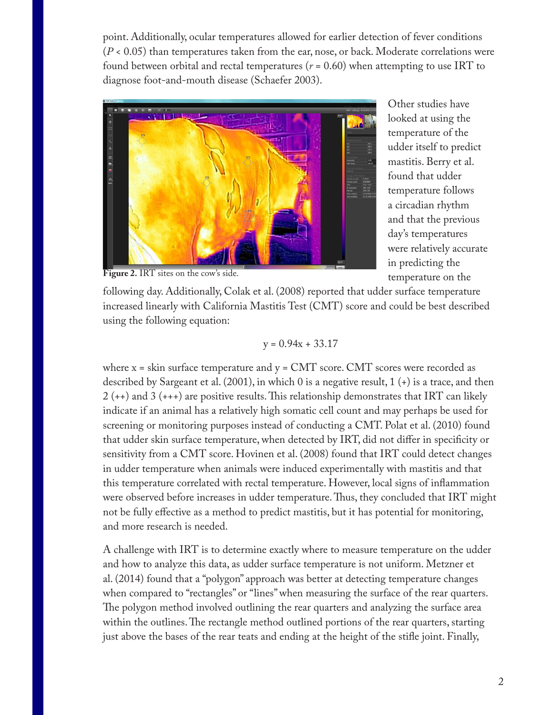point. Additionally, ocular temperatures allowed for earlier detection of fever conditions (*P* < 0.05) than temperatures taken from the ear, nose, or back. Moderate correlations were found between orbital and rectal temperatures ( $r = 0.60$ ) when attempting to use IRT to diagnose foot-and-mouth disease (Schaefer 2003).



Other studies have looked at using the temperature of the udder itself to predict mastitis. Berry et al. found that udder temperature follows a circadian rhythm and that the previous day's temperatures were relatively accurate in predicting the temperature on the

**Figure 2.** IRT sites on the cow's side.

following day. Additionally, Colak et al. (2008) reported that udder surface temperature increased linearly with California Mastitis Test (CMT) score and could be best described using the following equation:

$$
y = 0.94x + 33.17
$$

where  $x =$  skin surface temperature and  $y = CMT$  score. CMT scores were recorded as described by Sargeant et al. (2001), in which 0 is a negative result, 1 (+) is a trace, and then 2 (++) and 3 (+++) are positive results. This relationship demonstrates that IRT can likely indicate if an animal has a relatively high somatic cell count and may perhaps be used for screening or monitoring purposes instead of conducting a CMT. Polat et al. (2010) found that udder skin surface temperature, when detected by IRT, did not differ in specificity or sensitivity from a CMT score. Hovinen et al. (2008) found that IRT could detect changes in udder temperature when animals were induced experimentally with mastitis and that this temperature correlated with rectal temperature. However, local signs of inflammation were observed before increases in udder temperature. Thus, they concluded that IRT might not be fully effective as a method to predict mastitis, but it has potential for monitoring, and more research is needed.

A challenge with IRT is to determine exactly where to measure temperature on the udder and how to analyze this data, as udder surface temperature is not uniform. Metzner et al. (2014) found that a "polygon" approach was better at detecting temperature changes when compared to "rectangles" or "lines" when measuring the surface of the rear quarters. The polygon method involved outlining the rear quarters and analyzing the surface area within the outlines. The rectangle method outlined portions of the rear quarters, starting just above the bases of the rear teats and ending at the height of the stifle joint. Finally,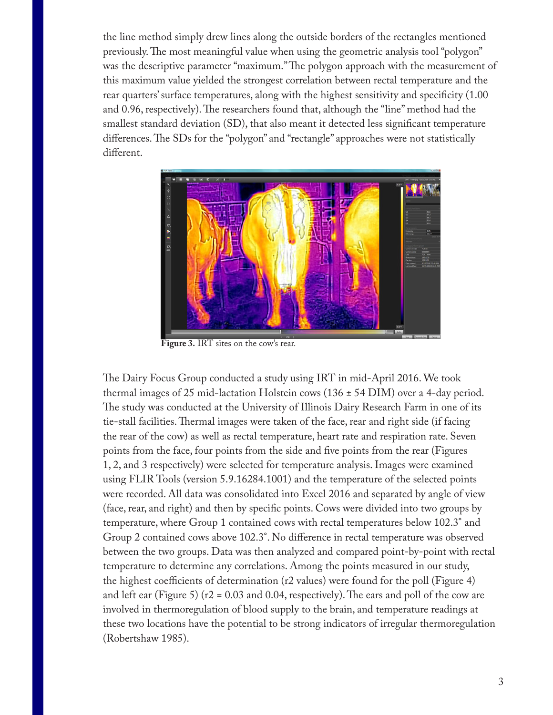the line method simply drew lines along the outside borders of the rectangles mentioned previously. The most meaningful value when using the geometric analysis tool "polygon" was the descriptive parameter "maximum." The polygon approach with the measurement of this maximum value yielded the strongest correlation between rectal temperature and the rear quarters' surface temperatures, along with the highest sensitivity and specificity (1.00 and 0.96, respectively). The researchers found that, although the "line" method had the smallest standard deviation (SD), that also meant it detected less significant temperature differences. The SDs for the "polygon" and "rectangle" approaches were not statistically different.



**Figure 3.** IRT sites on the cow's rear.

The Dairy Focus Group conducted a study using IRT in mid-April 2016. We took thermal images of 25 mid-lactation Holstein cows  $(136 \pm 54 \text{ DIM})$  over a 4-day period. The study was conducted at the University of Illinois Dairy Research Farm in one of its tie-stall facilities. Thermal images were taken of the face, rear and right side (if facing the rear of the cow) as well as rectal temperature, heart rate and respiration rate. Seven points from the face, four points from the side and five points from the rear (Figures 1, 2, and 3 respectively) were selected for temperature analysis. Images were examined using FLIR Tools (version 5.9.16284.1001) and the temperature of the selected points were recorded. All data was consolidated into Excel 2016 and separated by angle of view (face, rear, and right) and then by specific points. Cows were divided into two groups by temperature, where Group 1 contained cows with rectal temperatures below 102.3° and Group 2 contained cows above 102.3°. No difference in rectal temperature was observed between the two groups. Data was then analyzed and compared point-by-point with rectal temperature to determine any correlations. Among the points measured in our study, the highest coefficients of determination (r2 values) were found for the poll (Figure 4) and left ear (Figure 5) ( $r2 = 0.03$  and 0.04, respectively). The ears and poll of the cow are involved in thermoregulation of blood supply to the brain, and temperature readings at these two locations have the potential to be strong indicators of irregular thermoregulation (Robertshaw 1985).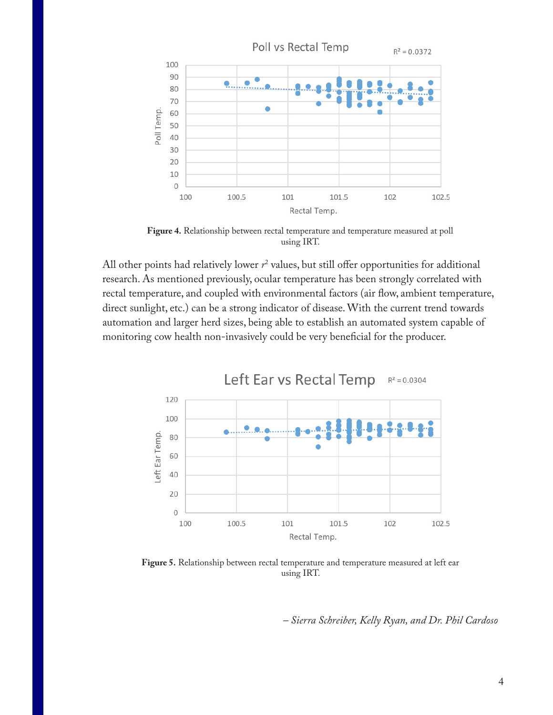

**Figure 4.** Relationship between rectal temperature and temperature measured at poll using IRT.

All other points had relatively lower  $r^2$  values, but still offer opportunities for additional research. As mentioned previously, ocular temperature has been strongly correlated with rectal temperature, and coupled with environmental factors (air flow, ambient temperature, direct sunlight, etc.) can be a strong indicator of disease. With the current trend towards automation and larger herd sizes, being able to establish an automated system capable of monitoring cow health non-invasively could be very beneficial for the producer.



**Figure 5.** Relationship between rectal temperature and temperature measured at left ear using IRT.

*– Sierra Schreiber, Kelly Ryan, and Dr. Phil Cardoso*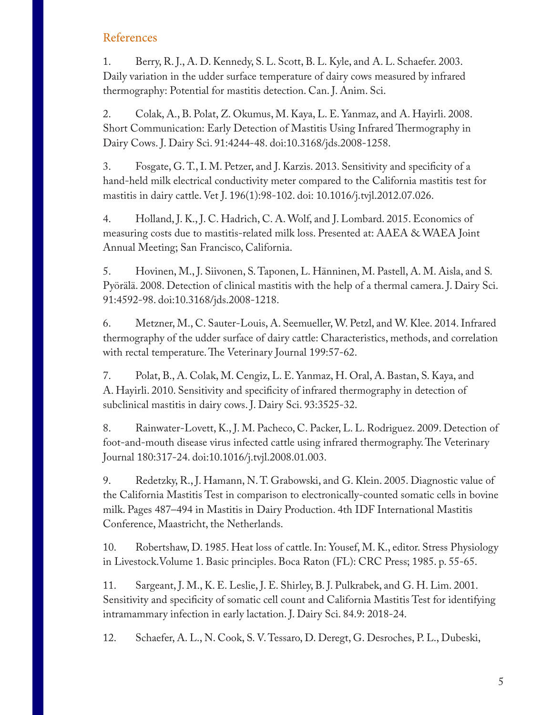## References

1. Berry, R. J., A. D. Kennedy, S. L. Scott, B. L. Kyle, and A. L. Schaefer. 2003. Daily variation in the udder surface temperature of dairy cows measured by infrared thermography: Potential for mastitis detection. Can. J. Anim. Sci.

2. Colak, A., B. Polat, Z. Okumus, M. Kaya, L. E. Yanmaz, and A. Hayirli. 2008. Short Communication: Early Detection of Mastitis Using Infrared Thermography in Dairy Cows. J. Dairy Sci. 91:4244-48. doi:10.3168/jds.2008-1258.

3. Fosgate, G. T., I. M. Petzer, and J. Karzis. 2013. Sensitivity and specificity of a hand-held milk electrical conductivity meter compared to the California mastitis test for mastitis in dairy cattle. Vet J. 196(1):98-102. doi: 10.1016/j.tvjl.2012.07.026.

4. Holland, J. K., J. C. Hadrich, C. A. Wolf, and J. Lombard. 2015. Economics of measuring costs due to mastitis-related milk loss. Presented at: AAEA & WAEA Joint Annual Meeting; San Francisco, California.

5. Hovinen, M., J. Siivonen, S. Taponen, L. Hänninen, M. Pastell, A. M. Aisla, and S. Pyörälä. 2008. Detection of clinical mastitis with the help of a thermal camera. J. Dairy Sci. 91:4592-98. doi:10.3168/jds.2008-1218.

6. Metzner, M., C. Sauter-Louis, A. Seemueller, W. Petzl, and W. Klee. 2014. Infrared thermography of the udder surface of dairy cattle: Characteristics, methods, and correlation with rectal temperature. The Veterinary Journal 199:57-62.

7. Polat, B., A. Colak, M. Cengiz, L. E. Yanmaz, H. Oral, A. Bastan, S. Kaya, and A. Hayirli. 2010. Sensitivity and specificity of infrared thermography in detection of subclinical mastitis in dairy cows. J. Dairy Sci. 93:3525-32.

8. Rainwater-Lovett, K., J. M. Pacheco, C. Packer, L. L. Rodriguez. 2009. Detection of foot-and-mouth disease virus infected cattle using infrared thermography. The Veterinary Journal 180:317-24. doi:10.1016/j.tvjl.2008.01.003.

9. Redetzky, R., J. Hamann, N. T. Grabowski, and G. Klein. 2005. Diagnostic value of the California Mastitis Test in comparison to electronically-counted somatic cells in bovine milk. Pages 487–494 in Mastitis in Dairy Production. 4th IDF International Mastitis Conference, Maastricht, the Netherlands.

10. Robertshaw, D. 1985. Heat loss of cattle. In: Yousef, M. K., editor. Stress Physiology in Livestock.Volume 1. Basic principles. Boca Raton (FL): CRC Press; 1985. p. 55-65.

11. Sargeant, J. M., K. E. Leslie, J. E. Shirley, B. J. Pulkrabek, and G. H. Lim. 2001. Sensitivity and specificity of somatic cell count and California Mastitis Test for identifying intramammary infection in early lactation. J. Dairy Sci. 84.9: 2018-24.

12. Schaefer, A. L., N. Cook, S. V. Tessaro, D. Deregt, G. Desroches, P. L., Dubeski,